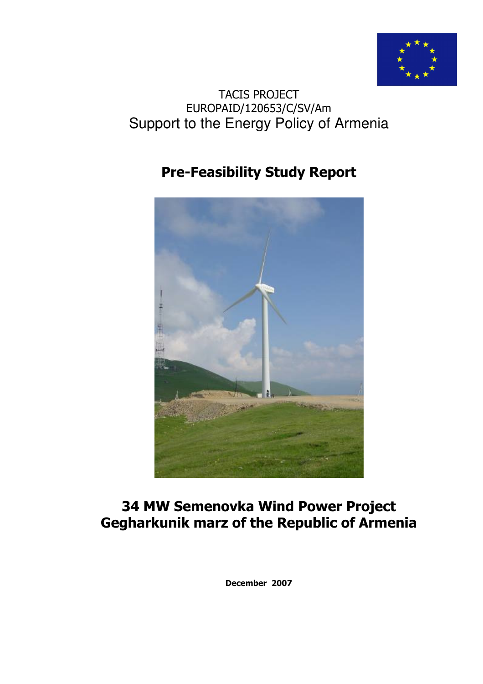

# TACIS PROJECT EUROPAID/120653/C/SV/Am Support to the Energy Policy of Armenia

# Pre-Feasibility Study Report



# 34 MW Semenovka Wind Power Project Gegharkunik marz of the Republic of Armenia

December 2007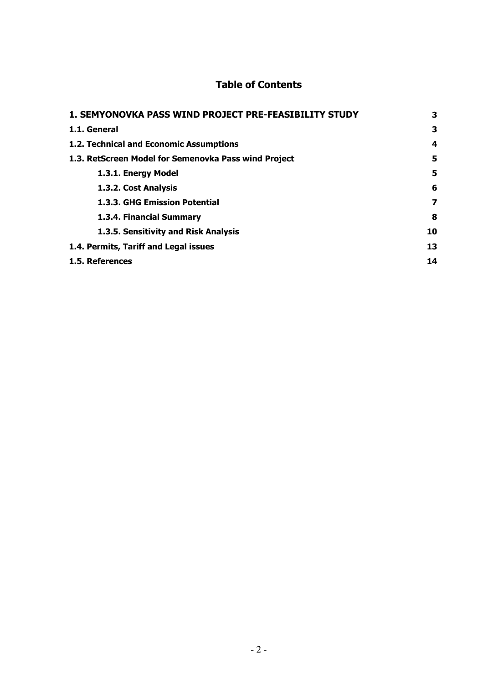# Table of Contents

| 1. SEMYONOVKA PASS WIND PROJECT PRE-FEASIBILITY STUDY | 3  |
|-------------------------------------------------------|----|
| 1.1. General                                          | 3  |
| 1.2. Technical and Economic Assumptions               | 4  |
| 1.3. RetScreen Model for Semenovka Pass wind Project  | 5  |
| 1.3.1. Energy Model                                   | 5  |
| 1.3.2. Cost Analysis                                  | 6  |
| <b>1.3.3. GHG Emission Potential</b>                  | 7  |
| 1.3.4. Financial Summary                              | 8  |
| 1.3.5. Sensitivity and Risk Analysis                  | 10 |
| 1.4. Permits, Tariff and Legal issues                 | 13 |
| 1.5. References                                       | 14 |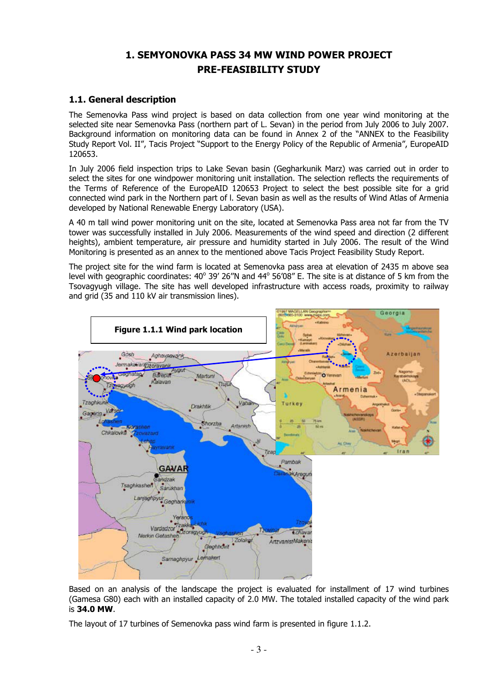# 1. SEMYONOVKA PASS 34 MW WIND POWER PROJECT PRE-FEASIBILITY STUDY

# 1.1. General description

The Semenovka Pass wind project is based on data collection from one year wind monitoring at the selected site near Semenovka Pass (northern part of L. Sevan) in the period from July 2006 to July 2007. Background information on monitoring data can be found in Annex 2 of the "ANNEX to the Feasibility Study Report Vol. II", Tacis Project "Support to the Energy Policy of the Republic of Armenia", EuropeAID 120653.

In July 2006 field inspection trips to Lake Sevan basin (Gegharkunik Marz) was carried out in order to select the sites for one windpower monitoring unit installation. The selection reflects the requirements of the Terms of Reference of the EuropeAID 120653 Project to select the best possible site for a grid connected wind park in the Northern part of l. Sevan basin as well as the results of Wind Atlas of Armenia developed by National Renewable Energy Laboratory (USA).

A 40 m tall wind power monitoring unit on the site, located at Semenovka Pass area not far from the TV tower was successfully installed in July 2006. Measurements of the wind speed and direction (2 different heights), ambient temperature, air pressure and humidity started in July 2006. The result of the Wind Monitoring is presented as an annex to the mentioned above Tacis Project Feasibility Study Report.

The project site for the wind farm is located at Semenovka pass area at elevation of 2435 m above sea level with geographic coordinates: 40° 39' 26"N and 44° 56'08" E. The site is at distance of 5 km from the Tsovagyugh village. The site has well developed infrastructure with access roads, proximity to railway and grid (35 and 110 kV air transmission lines).



Based on an analysis of the landscape the project is evaluated for installment of 17 wind turbines (Gamesa G80) each with an installed capacity of 2.0 MW. The totaled installed capacity of the wind park is 34.0 MW.

The layout of 17 turbines of Semenovka pass wind farm is presented in figure 1.1.2.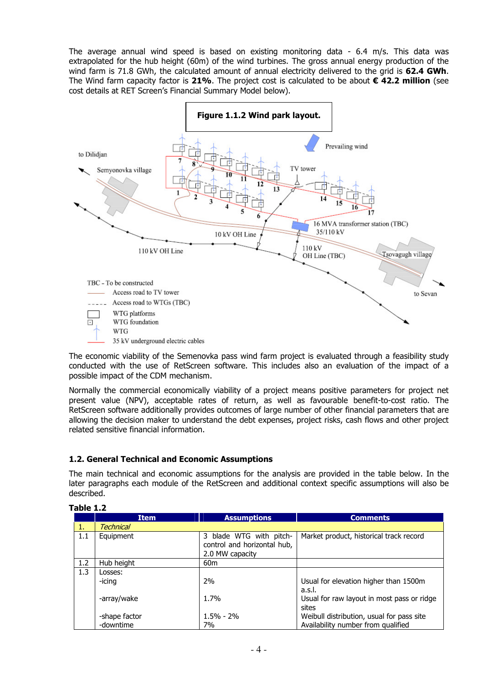The average annual wind speed is based on existing monitoring data - 6.4 m/s. This data was extrapolated for the hub height (60m) of the wind turbines. The gross annual energy production of the wind farm is 71.8 GWh, the calculated amount of annual electricity delivered to the grid is 62.4 GWh. The Wind farm capacity factor is 21%. The project cost is calculated to be about  $\epsilon$  42.2 million (see cost details at RET Screen's Financial Summary Model below).



The economic viability of the Semenovka pass wind farm project is evaluated through a feasibility study conducted with the use of RetScreen software. This includes also an evaluation of the impact of a possible impact of the CDM mechanism.

Normally the commercial economically viability of a project means positive parameters for project net present value (NPV), acceptable rates of return, as well as favourable benefit-to-cost ratio. The RetScreen software additionally provides outcomes of large number of other financial parameters that are allowing the decision maker to understand the debt expenses, project risks, cash flows and other project related sensitive financial information.

# 1.2. General Technical and Economic Assumptions

The main technical and economic assumptions for the analysis are provided in the table below. In the later paragraphs each module of the RetScreen and additional context specific assumptions will also be described.

|     | <b>Item</b>   | <b>Assumptions</b>          | <b>Comments</b>                            |
|-----|---------------|-----------------------------|--------------------------------------------|
|     | Technical     |                             |                                            |
| 1.1 | Equipment     | 3 blade WTG with pitch-     | Market product, historical track record    |
|     |               | control and horizontal hub, |                                            |
|     |               | 2.0 MW capacity             |                                            |
| 1.2 | Hub height    | 60 <sub>m</sub>             |                                            |
| 1.3 | Losses:       |                             |                                            |
|     | -icing        | 2%                          | Usual for elevation higher than 1500m      |
|     |               |                             | a.s.l.                                     |
|     | -array/wake   | 1.7%                        | Usual for raw layout in most pass or ridge |
|     |               |                             | sites                                      |
|     | -shape factor | $1.5\% - 2\%$               | Weibull distribution, usual for pass site  |
|     | -downtime     | 7%                          | Availability number from qualified         |

#### Table 1.2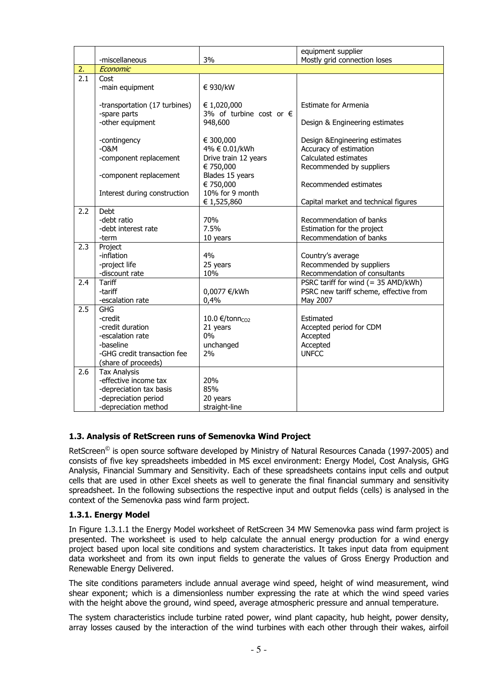|                  |                               |                                  | equipment supplier                     |
|------------------|-------------------------------|----------------------------------|----------------------------------------|
|                  | -miscellaneous                | 3%                               | Mostly grid connection loses           |
| 2.               | Economic                      |                                  |                                        |
| $\overline{2.1}$ | Cost                          |                                  |                                        |
|                  | -main equipment               | € 930/kW                         |                                        |
|                  |                               |                                  |                                        |
|                  | -transportation (17 turbines) | € 1,020,000                      | Estimate for Armenia                   |
|                  | -spare parts                  | 3% of turbine cost or $\epsilon$ |                                        |
|                  | -other equipment              | 948,600                          | Design & Engineering estimates         |
|                  |                               |                                  |                                        |
|                  | -contingency                  | € 300,000                        | Design & Engineering estimates         |
|                  | $-0$ &M                       | 4% € 0.01/kWh                    | Accuracy of estimation                 |
|                  | -component replacement        | Drive train 12 years             | Calculated estimates                   |
|                  |                               | € 750,000                        | Recommended by suppliers               |
|                  | -component replacement        | Blades 15 years                  |                                        |
|                  |                               | € 750,000                        | Recommended estimates                  |
|                  | Interest during construction  | 10% for 9 month                  |                                        |
|                  |                               | € 1,525,860                      | Capital market and technical figures   |
| 2.2              | Debt                          |                                  |                                        |
|                  | -debt ratio                   | 70%                              | Recommendation of banks                |
|                  | -debt interest rate           | 7.5%                             | Estimation for the project             |
|                  | -term                         | 10 years                         | Recommendation of banks                |
| 2.3              | Project                       |                                  |                                        |
|                  | -inflation                    | 4%                               | Country's average                      |
|                  | -project life                 | 25 years                         | Recommended by suppliers               |
|                  | -discount rate                | 10%                              | Recommendation of consultants          |
| 2.4              | <b>Tariff</b>                 |                                  | PSRC tariff for wind $(= 35$ AMD/kWh)  |
|                  | -tariff                       | 0,0077 €/kWh                     | PSRC new tariff scheme, effective from |
|                  | -escalation rate              | 0,4%                             | May 2007                               |
| 2.5              | <b>GHG</b>                    |                                  |                                        |
|                  | -credit                       | 10.0 €/tonn <sub>CO2</sub>       | Estimated                              |
|                  | -credit duration              | 21 years                         | Accepted period for CDM                |
|                  | -escalation rate              | $0\%$                            | Accepted                               |
|                  | -baseline                     | unchanged                        | Accepted                               |
|                  | -GHG credit transaction fee   | 2%                               | <b>UNFCC</b>                           |
|                  | (share of proceeds)           |                                  |                                        |
| 2.6              | <b>Tax Analysis</b>           |                                  |                                        |
|                  | -effective income tax         | 20%                              |                                        |
|                  | -depreciation tax basis       | 85%                              |                                        |
|                  | -depreciation period          | 20 years                         |                                        |
|                  | -depreciation method          | straight-line                    |                                        |

# 1.3. Analysis of RetScreen runs of Semenovka Wind Project

RetScreen<sup>©</sup> is open source software developed by Ministry of Natural Resources Canada (1997-2005) and consists of five key spreadsheets imbedded in MS excel environment: Energy Model, Cost Analysis, GHG Analysis, Financial Summary and Sensitivity. Each of these spreadsheets contains input cells and output cells that are used in other Excel sheets as well to generate the final financial summary and sensitivity spreadsheet. In the following subsections the respective input and output fields (cells) is analysed in the context of the Semenovka pass wind farm project.

#### 1.3.1. Energy Model

In Figure 1.3.1.1 the Energy Model worksheet of RetScreen 34 MW Semenovka pass wind farm project is presented. The worksheet is used to help calculate the annual energy production for a wind energy project based upon local site conditions and system characteristics. It takes input data from equipment data worksheet and from its own input fields to generate the values of Gross Energy Production and Renewable Energy Delivered.

The site conditions parameters include annual average wind speed, height of wind measurement, wind shear exponent; which is a dimensionless number expressing the rate at which the wind speed varies with the height above the ground, wind speed, average atmospheric pressure and annual temperature.

The system characteristics include turbine rated power, wind plant capacity, hub height, power density, array losses caused by the interaction of the wind turbines with each other through their wakes, airfoil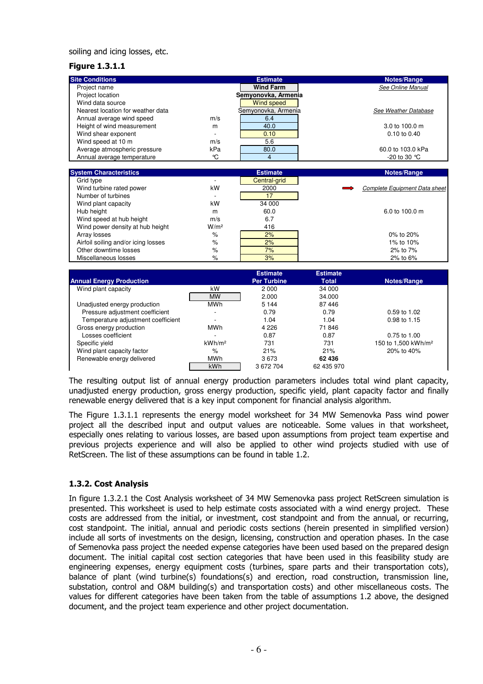#### soiling and icing losses, etc.

## Figure 1.3.1.1

| <b>Site Conditions</b>            |                          | <b>Estimate</b>     | Notes/Range                       |
|-----------------------------------|--------------------------|---------------------|-----------------------------------|
| Project name                      |                          | <b>Wind Farm</b>    | See Online Manual                 |
| Project location                  |                          | Semyonovka, Armenia |                                   |
| Wind data source                  |                          | Wind speed          |                                   |
| Nearest location for weather data |                          | Semyonovka, Armenia | See Weather Database              |
| Annual average wind speed         | m/s                      | 6.4                 |                                   |
| Height of wind measurement        | m                        | 40.0                | $3.0 \text{ to } 100.0 \text{ m}$ |
| Wind shear exponent               | $\overline{\phantom{a}}$ | 0.10                | $0.10$ to $0.40$                  |
| Wind speed at 10 m                | m/s                      | 5.6                 |                                   |
| Average atmospheric pressure      | kPa                      | 80.0                | 60.0 to 103.0 kPa                 |
| Annual average temperature        | °C                       | 4                   | -20 to 30 $^{\circ}$ C            |

| <b>System Characteristics</b>       |                  | <b>Estimate</b> | Notes/Range                       |
|-------------------------------------|------------------|-----------------|-----------------------------------|
| Grid type                           |                  | Central-grid    |                                   |
| Wind turbine rated power            | kW               | 2000            | Complete Equipment Data sheet     |
| Number of turbines                  |                  | 17              |                                   |
| Wind plant capacity                 | kW               | 34 000          |                                   |
| Hub height                          | m                | 60.0            | $6.0 \text{ to } 100.0 \text{ m}$ |
| Wind speed at hub height            | m/s              | 6.7             |                                   |
| Wind power density at hub height    | W/m <sup>2</sup> | 416             |                                   |
| Array losses                        | %                | 2%              | 0% to 20%                         |
| Airfoil soiling and/or icing losses | %                | 2%              | 1% to 10%                         |
| Other downtime losses               | %                | 7%              | $2\%$ to $7\%$                    |
| Miscellaneous losses                | $\%$             | 3%              | 2% to 6%                          |

|                                    |                    | <b>Estimate</b>    | <b>Estimate</b> |                                 |
|------------------------------------|--------------------|--------------------|-----------------|---------------------------------|
| <b>Annual Energy Production</b>    |                    | <b>Per Turbine</b> | <b>Total</b>    | Notes/Range                     |
| Wind plant capacity                | kW                 | 2000               | 34 000          |                                 |
|                                    | <b>MW</b>          | 2.000              | 34.000          |                                 |
| Unadjusted energy production       | <b>MWh</b>         | 5 1 4 4            | 87446           |                                 |
| Pressure adjustment coefficient    |                    | 0.79               | 0.79            | $0.59$ to 1.02                  |
| Temperature adjustment coefficient |                    | 1.04               | 1.04            | 0.98 to 1.15                    |
| Gross energy production            | MWh                | 4 2 2 6            | 71846           |                                 |
| Losses coefficient                 |                    | 0.87               | 0.87            | $0.75$ to 1.00                  |
| Specific vield                     | kWh/m <sup>2</sup> | 731                | 731             | 150 to 1,500 kWh/m <sup>2</sup> |
| Wind plant capacity factor         | %                  | 21%                | 21%             | 20% to 40%                      |
| Renewable energy delivered         | <b>MWh</b>         | 3673               | 62 436          |                                 |
|                                    | kWh                | 3672704            | 62 435 970      |                                 |

The resulting output list of annual energy production parameters includes total wind plant capacity, unadjusted energy production, gross energy production, specific yield, plant capacity factor and finally renewable energy delivered that is a key input component for financial analysis algorithm.

The Figure 1.3.1.1 represents the energy model worksheet for 34 MW Semenovka Pass wind power project all the described input and output values are noticeable. Some values in that worksheet, especially ones relating to various losses, are based upon assumptions from project team expertise and previous projects experience and will also be applied to other wind projects studied with use of RetScreen. The list of these assumptions can be found in table 1.2.

#### 1.3.2. Cost Analysis

In figure 1.3.2.1 the Cost Analysis worksheet of 34 MW Semenovka pass project RetScreen simulation is presented. This worksheet is used to help estimate costs associated with a wind energy project. These costs are addressed from the initial, or investment, cost standpoint and from the annual, or recurring, cost standpoint. The initial, annual and periodic costs sections (herein presented in simplified version) include all sorts of investments on the design, licensing, construction and operation phases. In the case of Semenovka pass project the needed expense categories have been used based on the prepared design document. The initial capital cost section categories that have been used in this feasibility study are engineering expenses, energy equipment costs (turbines, spare parts and their transportation cots), balance of plant (wind turbine(s) foundations(s) and erection, road construction, transmission line, substation, control and O&M building(s) and transportation costs) and other miscellaneous costs. The values for different categories have been taken from the table of assumptions 1.2 above, the designed document, and the project team experience and other project documentation.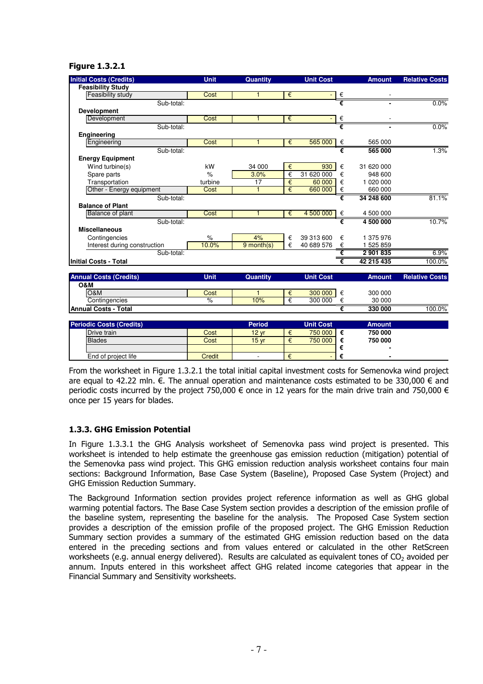#### Figure 1.3.2.1

| <b>Initial Costs (Credits)</b>  | <b>Unit</b>   | <b>Quantity</b>  |   | <b>Unit Cost</b> |   | <b>Amount</b> | <b>Relative Costs</b> |
|---------------------------------|---------------|------------------|---|------------------|---|---------------|-----------------------|
| <b>Feasibility Study</b>        |               |                  |   |                  |   |               |                       |
| Feasibility study               | Cost          | 1                | € |                  | € |               |                       |
| Sub-total:                      |               |                  |   |                  | € |               | 0.0%                  |
| <b>Development</b>              |               |                  |   |                  |   |               |                       |
| Development                     | Cost          | $\mathbf{1}$     | € |                  | € |               |                       |
| Sub-total:                      |               |                  |   |                  |   |               | 0.0%                  |
| Engineering                     |               |                  |   |                  |   |               |                       |
| Engineering                     | Cost          | 1                | € | 565 000          | € | 565 000       |                       |
| Sub-total:                      |               |                  |   |                  | € | 565 000       | 1.3%                  |
| <b>Energy Equipment</b>         |               |                  |   |                  |   |               |                       |
| Wind turbine(s)                 | kW            | 34 000           | € | 930              | € | 31 620 000    |                       |
| Spare parts                     | $\frac{9}{6}$ | 3.0%             | € | 31 620 000       | € | 948 600       |                       |
| Transportation                  | turbine       | 17               | € | 60 000           | € | 1 020 000     |                       |
| Other - Energy equipment        | Cost          | $\mathbf{1}$     | € | 660 000          | € | 660 000       |                       |
| Sub-total:                      |               |                  |   |                  | € | 34 248 600    | 81.1%                 |
| <b>Balance of Plant</b>         |               |                  |   |                  |   |               |                       |
| Balance of plant                | Cost          | 1                | € | 4 500 000        | € | 4 500 000     |                       |
| Sub-total:                      |               |                  |   |                  | € | 4 500 000     | 10.7%                 |
| <b>Miscellaneous</b>            |               |                  |   |                  |   |               |                       |
| Contingencies                   | $\frac{9}{6}$ | 4%               | € | 39 313 600       | € | 1 375 976     |                       |
| Interest during construction    | 10.0%         | $9$ month(s)     | € | 40 689 576       | € | 1 525 859     |                       |
| Sub-total:                      |               |                  |   |                  | € | 2901835       | $6.9\%$               |
| <b>Initial Costs - Total</b>    |               |                  |   |                  | € | 42 215 435    | 100.0%                |
| <b>Annual Costs (Credits)</b>   | <b>Unit</b>   | Quantity         |   | <b>Unit Cost</b> |   | <b>Amount</b> | <b>Relative Costs</b> |
| O&M                             |               |                  |   |                  |   |               |                       |
| O&M                             | Cost          | $\mathbf{1}$     | € | 300 000          | € | 300 000       |                       |
| Contingencies                   | $\frac{9}{6}$ | 10%              | € | 300 000          | € | 30 000        |                       |
| <b>Annual Costs - Total</b>     |               |                  |   |                  | € | 330 000       | 100.0%                |
|                                 |               |                  |   |                  |   |               |                       |
| <b>Periodic Costs (Credits)</b> |               | <b>Period</b>    |   | <b>Unit Cost</b> |   | <b>Amount</b> |                       |
| Drive train                     | Cost          | 12 <sub>yr</sub> | € | 750 000          | € | 750 000       |                       |
| <b>Blades</b>                   | Cost          | 15 <sub>yr</sub> | € | 750 000          | € | 750 000       |                       |
|                                 |               |                  |   |                  | € |               |                       |
| End of project life             | <b>Credit</b> | $\blacksquare$   | € |                  | € |               |                       |

From the worksheet in Figure 1.3.2.1 the total initial capital investment costs for Semenovka wind project are equal to 42.22 mln.  $\epsilon$ . The annual operation and maintenance costs estimated to be 330.000  $\epsilon$  and periodic costs incurred by the project 750,000  $\epsilon$  once in 12 years for the main drive train and 750,000  $\epsilon$ once per 15 years for blades.

# 1.3.3. GHG Emission Potential

In Figure 1.3.3.1 the GHG Analysis worksheet of Semenovka pass wind project is presented. This worksheet is intended to help estimate the greenhouse gas emission reduction (mitigation) potential of the Semenovka pass wind project. This GHG emission reduction analysis worksheet contains four main sections: Background Information, Base Case System (Baseline), Proposed Case System (Project) and GHG Emission Reduction Summary.

The Background Information section provides project reference information as well as GHG global warming potential factors. The Base Case System section provides a description of the emission profile of the baseline system, representing the baseline for the analysis. The Proposed Case System section provides a description of the emission profile of the proposed project. The GHG Emission Reduction Summary section provides a summary of the estimated GHG emission reduction based on the data entered in the preceding sections and from values entered or calculated in the other RetScreen worksheets (e.g. annual energy delivered). Results are calculated as equivalent tones of  $CO<sub>2</sub>$  avoided per annum. Inputs entered in this worksheet affect GHG related income categories that appear in the Financial Summary and Sensitivity worksheets.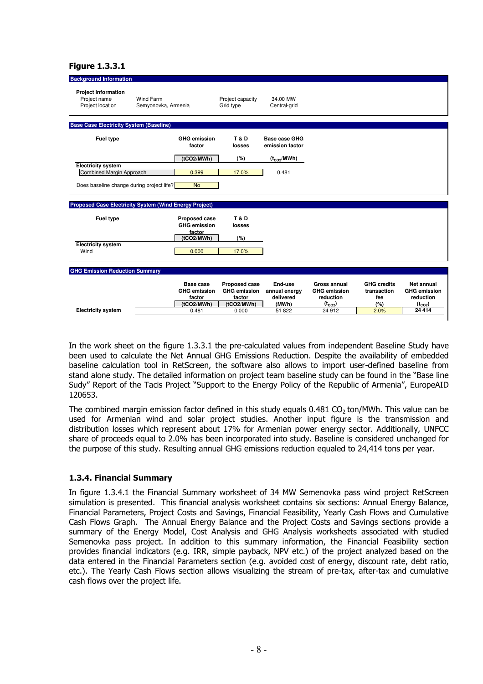#### Figure 1.3.3.1

| <b>Background Information</b>                                  |                                                               |                               |                                  |                     |                    |                     |
|----------------------------------------------------------------|---------------------------------------------------------------|-------------------------------|----------------------------------|---------------------|--------------------|---------------------|
| <b>Project Information</b><br>Project name<br>Project location | Wind Farm<br>Semyonovka, Armenia                              | Project capacity<br>Grid type | 34.00 MW<br>Central-grid         |                     |                    |                     |
| <b>Base Case Electricity System (Baseline)</b>                 |                                                               |                               |                                  |                     |                    |                     |
| <b>Fuel type</b>                                               | <b>GHG emission</b><br>factor                                 | T&D<br>losses                 | Base case GHG<br>emission factor |                     |                    |                     |
|                                                                | (tCO2/MWh)                                                    | (%)                           | $(t_{CO2}/MWh)$                  |                     |                    |                     |
| <b>Electricity system</b><br>Combined Margin Approach          | 0.399                                                         | 17.0%                         | 0.481                            |                     |                    |                     |
|                                                                |                                                               |                               |                                  |                     |                    |                     |
| Does baseline change during project life?                      | <b>No</b>                                                     |                               |                                  |                     |                    |                     |
|                                                                |                                                               |                               |                                  |                     |                    |                     |
|                                                                | <b>Proposed Case Electricity System (Wind Energy Project)</b> |                               |                                  |                     |                    |                     |
| Fuel type                                                      | <b>Proposed case</b><br><b>GHG emission</b>                   | <b>T&amp;D</b><br>losses      |                                  |                     |                    |                     |
|                                                                | factor<br>(tCO2/MWh)                                          | (%)                           |                                  |                     |                    |                     |
| <b>Electricity system</b>                                      |                                                               |                               |                                  |                     |                    |                     |
| Wind                                                           | 0.000                                                         | 17.0%                         |                                  |                     |                    |                     |
|                                                                |                                                               |                               |                                  |                     |                    |                     |
| <b>GHG Emission Reduction Summary</b>                          |                                                               |                               |                                  |                     |                    |                     |
|                                                                | Base case                                                     | <b>Proposed case</b>          | End-use                          | Gross annual        | <b>GHG credits</b> | Net annual          |
|                                                                | <b>GHG emission</b>                                           | <b>GHG</b> emission           | annual energy                    | <b>GHG emission</b> | transaction        | <b>GHG emission</b> |
|                                                                | factor                                                        | factor                        | delivered                        | reduction           | fee                | reduction           |
|                                                                | (tCO2/MWh)                                                    | (tCO2/MWh)                    | (MWh)                            | $(t_{CO2})$         | $(\%)$             | $(t_{CO2})$         |
| <b>Electricity system</b>                                      | 0.481                                                         | 0.000                         | 51 822                           | 24 912              | 2.0%               | 24 4 14             |
|                                                                |                                                               |                               |                                  |                     |                    |                     |

In the work sheet on the figure 1.3.3.1 the pre-calculated values from independent Baseline Study have been used to calculate the Net Annual GHG Emissions Reduction. Despite the availability of embedded baseline calculation tool in RetScreen, the software also allows to import user-defined baseline from stand alone study. The detailed information on project team baseline study can be found in the "Base line Sudy" Report of the Tacis Project "Support to the Energy Policy of the Republic of Armenia", EuropeAID 120653.

The combined margin emission factor defined in this study equals  $0.481$  CO<sub>2</sub> ton/MWh. This value can be used for Armenian wind and solar project studies. Another input figure is the transmission and distribution losses which represent about 17% for Armenian power energy sector. Additionally, UNFCC share of proceeds equal to 2.0% has been incorporated into study. Baseline is considered unchanged for the purpose of this study. Resulting annual GHG emissions reduction equaled to 24,414 tons per year.

#### 1.3.4. Financial Summary

In figure 1.3.4.1 the Financial Summary worksheet of 34 MW Semenovka pass wind project RetScreen simulation is presented. This financial analysis worksheet contains six sections: Annual Energy Balance, Financial Parameters, Project Costs and Savings, Financial Feasibility, Yearly Cash Flows and Cumulative Cash Flows Graph. The Annual Energy Balance and the Project Costs and Savings sections provide a summary of the Energy Model, Cost Analysis and GHG Analysis worksheets associated with studied Semenovka pass project. In addition to this summary information, the Financial Feasibility section provides financial indicators (e.g. IRR, simple payback, NPV etc.) of the project analyzed based on the data entered in the Financial Parameters section (e.g. avoided cost of energy, discount rate, debt ratio, etc.). The Yearly Cash Flows section allows visualizing the stream of pre-tax, after-tax and cumulative cash flows over the project life.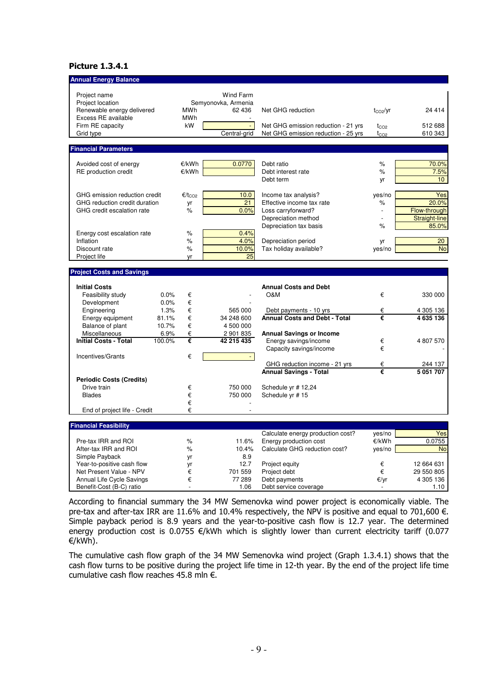## Picture 1.3.4.1

| <b>Annual Energy Balance</b>                      |                        |                                  |                                      |              |                      |
|---------------------------------------------------|------------------------|----------------------------------|--------------------------------------|--------------|----------------------|
| Project name<br>Project location                  |                        | Wind Farm<br>Semyonovka, Armenia |                                      |              |                      |
| Renewable energy delivered<br>Excess RE available | MWh<br>MWh             | 62 436                           | Net GHG reduction                    | $t_{CO2}/yr$ | 24 4 14              |
| Firm RE capacity                                  | kW                     | $\omega$                         | Net GHG emission reduction - 21 yrs  | $t_{CO2}$    | 512 688              |
| Grid type                                         |                        | Central-grid                     | Net GHG emission reduction - 25 yrs  | $t_{CO2}$    | 610 343              |
| <b>Financial Parameters</b>                       |                        |                                  |                                      |              |                      |
|                                                   |                        |                                  |                                      |              |                      |
| Avoided cost of energy                            | €/kWh                  | 0.0770                           | Debt ratio                           | $\%$         | 70.0%                |
| RE production credit                              | €/kWh                  |                                  | Debt interest rate                   | $\%$         | 7.5%                 |
|                                                   |                        |                                  | Debt term                            | yr           | 10 <sup>1</sup>      |
| GHG emission reduction credit                     | $\epsilon/t_{\rm CO2}$ | 10.0                             | Income tax analysis?                 | yes/no       | Yes                  |
| GHG reduction credit duration                     | yr                     | 21                               | Effective income tax rate            | $\%$         | 20.0%                |
| GHG credit escalation rate                        | $\%$                   | 0.0%                             | Loss carryforward?                   |              | Flow-through         |
|                                                   |                        |                                  | Depreciation method                  |              | <b>Straight-line</b> |
|                                                   |                        |                                  | Depreciation tax basis               | %            | 85.0%                |
| Energy cost escalation rate                       | $\%$                   | 0.4%                             |                                      |              |                      |
| Inflation                                         | %                      | 4.0%                             | Depreciation period                  | yr           | 20 <sub>2</sub>      |
| Discount rate                                     | $\%$                   | 10.0%                            | Tax holiday available?               | yes/no       | <b>No</b>            |
| Project life                                      | yr                     | 25                               |                                      |              |                      |
| <b>Project Costs and Savings</b>                  |                        |                                  |                                      |              |                      |
|                                                   |                        |                                  |                                      |              |                      |
| <b>Initial Costs</b>                              |                        |                                  | <b>Annual Costs and Debt</b>         |              |                      |
| Feasibility study                                 | 0.0%<br>€              |                                  | O&M                                  | €            | 330 000              |
| Development                                       | 0.0%<br>€              |                                  |                                      |              |                      |
| Engineering                                       | €<br>1.3%              | 565 000                          | Debt payments - 10 yrs               | €            | 4 305 136            |
| Energy equipment                                  | €<br>81.1%             | 34 248 600                       | <b>Annual Costs and Debt - Total</b> | €            | 4 635 136            |
| Balance of plant                                  | 10.7%<br>€             | 4 500 000                        |                                      |              |                      |
| Miscellaneous                                     | €<br>6.9%              | 2 901 835                        | <b>Annual Savings or Income</b>      |              |                      |
| <b>Initial Costs - Total</b>                      | €<br>100.0%            | 42 215 435                       | Energy savings/income                | €            | 4 807 570            |
|                                                   | €                      |                                  | Capacity savings/income              | €            |                      |
| Incentives/Grants                                 |                        |                                  | GHG reduction income - 21 yrs        | €            | 244 137              |
|                                                   |                        |                                  | <b>Annual Savings - Total</b>        | €            | 5 051 707            |
| <b>Periodic Costs (Credits)</b>                   |                        |                                  |                                      |              |                      |
| Drive train                                       | €                      | 750 000                          | Schedule yr #12,24                   |              |                      |
| <b>Blades</b>                                     | €                      | 750 000                          | Schedule yr #15                      |              |                      |
|                                                   | €                      |                                  |                                      |              |                      |
| End of project life - Credit                      | €                      |                                  |                                      |              |                      |
| <b>Financial Feasibility</b>                      |                        |                                  |                                      |              |                      |
|                                                   |                        |                                  | Calculate energy production cost?    | yes/no       | Yes                  |
| Pre-tax IRR and ROI                               | $\%$                   | 11.6%                            | Energy production cost               | €/kWh        | 0.0755               |
| After-tax IRR and ROI                             | %                      | 10.4%                            | Calculate GHG reduction cost?        | yes/no       | <b>No</b>            |
| Simple Payback                                    | yr                     | 8.9                              |                                      |              |                      |
| Year-to-positive cash flow                        | yr                     | 12.7                             | Project equity                       | €            | 12 664 631           |
| Net Present Value - NPV                           | €                      | 701 559                          | Project debt                         | €            | 29 550 805           |
| Annual Life Cycle Savings                         | €                      | 77 289                           | Debt payments                        | €/yr         | 4 305 136            |
| Benefit-Cost (B-C) ratio                          |                        | 1.06                             | Debt service coverage                |              | 1.10                 |

According to financial summary the 34 MW Semenovka wind power project is economically viable. The pre-tax and after-tax IRR are 11.6% and 10.4% respectively, the NPV is positive and equal to 701,600 €. Simple payback period is 8.9 years and the year-to-positive cash flow is 12.7 year. The determined energy production cost is 0.0755 €/kWh which is slightly lower than current electricity tariff (0.077 €/kWh).

The cumulative cash flow graph of the 34 MW Semenovka wind project (Graph 1.3.4.1) shows that the cash flow turns to be positive during the project life time in 12-th year. By the end of the project life time cumulative cash flow reaches 45.8 mln  $\epsilon$ .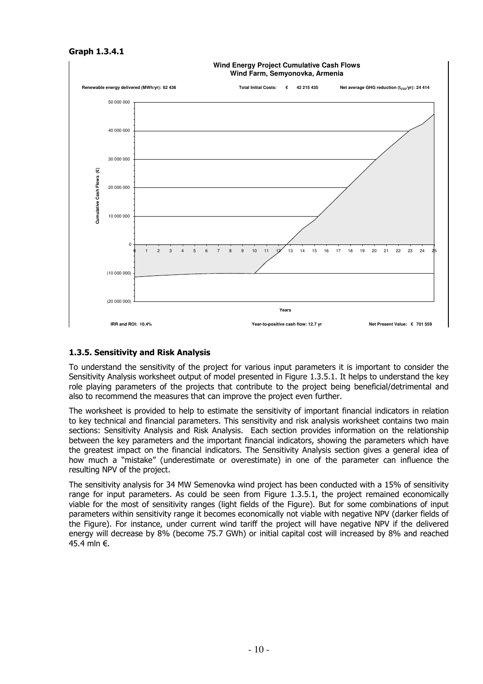#### Graph 1.3.4.1



# 1.3.5. Sensitivity and Risk Analysis

To understand the sensitivity of the project for various input parameters it is important to consider the Sensitivity Analysis worksheet output of model presented in Figure 1.3.5.1. It helps to understand the key role playing parameters of the projects that contribute to the project being beneficial/detrimental and also to recommend the measures that can improve the project even further.

The worksheet is provided to help to estimate the sensitivity of important financial indicators in relation to key technical and financial parameters. This sensitivity and risk analysis worksheet contains two main sections: Sensitivity Analysis and Risk Analysis. Each section provides information on the relationship between the key parameters and the important financial indicators, showing the parameters which have the greatest impact on the financial indicators. The Sensitivity Analysis section gives a general idea of how much a "mistake" (underestimate or overestimate) in one of the parameter can influence the resulting NPV of the project.

The sensitivity analysis for 34 MW Semenovka wind project has been conducted with a 15% of sensitivity range for input parameters. As could be seen from Figure 1.3.5.1, the project remained economically viable for the most of sensitivity ranges (light fields of the Figure). But for some combinations of input parameters within sensitivity range it becomes economically not viable with negative NPV (darker fields of the Figure). For instance, under current wind tariff the project will have negative NPV if the delivered energy will decrease by 8% (become 75.7 GWh) or initial capital cost will increased by 8% and reached 45.4 mln €.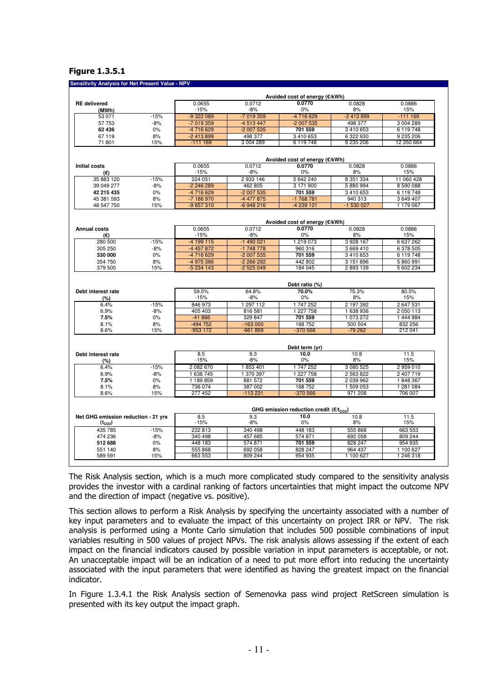#### Figure 1.3.5.1

#### **Sensitivity Analysis for Net Present Value - NI**

|                                                    |        |               |              | Avoided cost of energy (€/kWh)                |            |             |
|----------------------------------------------------|--------|---------------|--------------|-----------------------------------------------|------------|-------------|
| <b>RE</b> delivered                                |        | 0.0655        | 0.0712       | 0.0770                                        | 0.0828     | 0.0886      |
| (MWh)                                              |        | $-15%$        | $-8%$        | 0%                                            | 8%         | 15%         |
| 53 071                                             | $-15%$ | -9 322 089    | -7 019 359   | -4716629                                      | $-2413899$ | $-1111169$  |
| 57 753                                             | $-8%$  | -7 019 359    | -4 513 447   | -2 007 535                                    | 498 377    | 3 004 289   |
| 62 436                                             | 0%     | -4 716 629    | $-2007535$   | 701 559                                       | 3 410 653  | 6 119 748   |
| 67119                                              | 8%     | -2 413 899    | 498 377      | 3 410 653                                     | 6 322 930  | 9 235 206   |
| 71 801                                             | 15%    | $-111169$     | 3 004 289    | 6 119 748                                     | 9 235 206  | 12 350 664  |
|                                                    |        |               |              | Avoided cost of energy (€/kWh)                |            |             |
| <b>Initial costs</b>                               |        | 0.0655        | 0.0712       | 0.0770                                        | 0.0828     | 0.0886      |
| (€)                                                |        | $-15%$        | $-8%$        | 0%                                            | 8%         | 15%         |
| 35 883 120                                         | $-15%$ | 224 051       | 2 933 146    | 5 642 240                                     | 8 351 334  | 11 060 428  |
| 39 049 277                                         | $-8%$  | -2 246 289    | 462 805      | 3 171 900                                     | 5 880 994  | 8 590 088   |
| 42 215 435                                         | $0\%$  | -4 716 629    | -2 007 535   | 701 559                                       | 3 410 653  | 6 119 748   |
| 45 381 593                                         | 8%     | -7 186 970    | -4 477 875   | -1 768 781                                    | 940 313    | 3 649 407   |
| 48 547 750                                         | 15%    | -9 657 310    | $-6948216$   | -4 239 121                                    | -1 530 027 | 1 179 067   |
|                                                    |        |               |              |                                               |            |             |
|                                                    |        |               |              | Avoided cost of energy (€/kWh)                |            |             |
| <b>Annual costs</b>                                |        | 0.0655        | 0.0712       | 0.0770                                        | 0.0828     | 0.0886      |
| (€)                                                |        | $-15%$        | $-8%$        | 0%                                            | 8%         | 15%         |
| 280 500                                            | $-15%$ | $-4199115$    | $-1490021$   | 1 219 073                                     | 3 928 167  | 6637262     |
| 305 250                                            | -8%    | -4 457 872    | -1 748 778   | 960 316                                       | 3 669 410  | 6 378 505   |
| 330 000                                            | 0%     | -4716629      | -2 007 535   | 701 559                                       | 3 410 653  | 6 119 748   |
| 354 750                                            | 8%     | -4 975 386    | -2 266 292   | 442 802                                       | 3 151 896  | 5860991     |
| 379 500                                            | 15%    | $-5234143$    | $-2525049$   | 184 045                                       | 2893139    | 5 602 234   |
|                                                    |        |               |              | Debt ratio (%)                                |            |             |
| Debt interest rate                                 |        | 59.5%         | 64.8%        | 70.0%                                         | 75.3%      | 80.5%       |
| (%)                                                |        | $-15%$        | $-8%$        | 0%                                            | 8%         | 15%         |
| 6.4%                                               | $-15%$ | 846 973       | 1 297 112    | 1747252                                       | 2 197 392  | 2647531     |
| 6.9%                                               | $-8%$  | 405 403       | 816 581      | 1 227 758                                     | 1 638 936  | 2 050 113   |
| 7.5%                                               | 0%     | $-41866$      | 329 847      | 701 559                                       | 1 073 272  | 1 444 984   |
| 8.1%                                               | 8%     | -494 752      | $-163000$    | 168 752                                       | 500 504    | 832 256     |
| 8.6%                                               | 15%    | -953 172      | $-661869$    | $-370566$                                     | $-79262$   | 212 041     |
|                                                    |        |               |              |                                               |            |             |
|                                                    |        |               |              | Debt term (yr)                                |            |             |
| Debt interest rate                                 |        | 8.5           | 9.3          | 10.0                                          | 10.8       | 11.5        |
| (%)                                                |        | $-15%$        | $-8%$        | 0%                                            | 8%         | 15%         |
| 6.4%                                               | $-15%$ | 2 082 670     | 1853401      | 1747252                                       | 3 080 525  | 2959010     |
| 6.9%                                               | $-8%$  | 1 638 745     | 1 370 397    | 1 227 758                                     | 2 563 822  | 2 407 719   |
| 7.5%                                               | 0%     | 1 189 859     | 881 572      | 701 559                                       | 2 039 962  | 1848367     |
| 8.1%                                               | 8%     | 736 074       | 387 002      | 168 752                                       | 1 509 053  | 1 281 084   |
| 8.6%                                               | 15%    | 277 452       | $-113231$    | $-370566$                                     | 971 208    | 706 007     |
|                                                    |        |               |              |                                               |            |             |
|                                                    |        |               |              | GHG emission reduction credit ( $E/t_{CO2}$ ) |            |             |
| Net GHG emission reduction - 21 yrs<br>$(t_{CO2})$ |        | 8.5<br>$-15%$ | 9.3<br>$-8%$ | 10.0<br>0%                                    | 10.8<br>8% | 11.5<br>15% |
| 435 785                                            | $-15%$ | 232 813       | 340 498      | 448 183                                       | 555 868    | 663 553     |
| 474 236                                            | -8%    | 340 498       | 457 685      | 574 871                                       | 692 058    | 809 244     |
| 512 688                                            | 0%     | 448 183       | 574 871      | 701 559                                       | 828 247    | 954 935     |
| 551 140                                            | 8%     | 555 868       | 692 058      | 828 247                                       | 964 437    | 1 100 627   |
| 589 591                                            | 15%    | 663 553       | 809 244      | 954 935                                       | 1 100 627  | 1 246 318   |
|                                                    |        |               |              |                                               |            |             |

The Risk Analysis section, which is a much more complicated study compared to the sensitivity analysis provides the investor with a cardinal ranking of factors uncertainties that might impact the outcome NPV and the direction of impact (negative vs. positive).

This section allows to perform a Risk Analysis by specifying the uncertainty associated with a number of key input parameters and to evaluate the impact of this uncertainty on project IRR or NPV. The risk analysis is performed using a Monte Carlo simulation that includes 500 possible combinations of input variables resulting in 500 values of project NPVs. The risk analysis allows assessing if the extent of each impact on the financial indicators caused by possible variation in input parameters is acceptable, or not. An unacceptable impact will be an indication of a need to put more effort into reducing the uncertainty associated with the input parameters that were identified as having the greatest impact on the financial indicator.

In Figure 1.3.4.1 the Risk Analysis section of Semenovka pass wind project RetScreen simulation is presented with its key output the impact graph.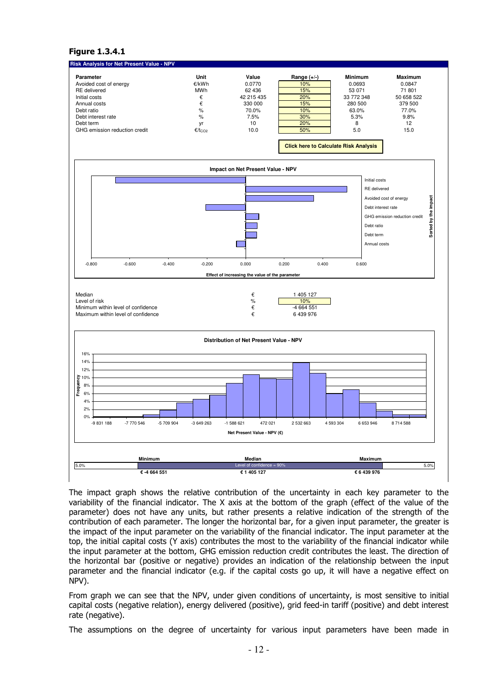#### Figure 1.3.4.1



The impact graph shows the relative contribution of the uncertainty in each key parameter to the variability of the financial indicator. The X axis at the bottom of the graph (effect of the value of the parameter) does not have any units, but rather presents a relative indication of the strength of the contribution of each parameter. The longer the horizontal bar, for a given input parameter, the greater is the impact of the input parameter on the variability of the financial indicator. The input parameter at the top, the initial capital costs (Y axis) contributes the most to the variability of the financial indicator while the input parameter at the bottom, GHG emission reduction credit contributes the least. The direction of the horizontal bar (positive or negative) provides an indication of the relationship between the input parameter and the financial indicator (e.g. if the capital costs go up, it will have a negative effect on NPV).

From graph we can see that the NPV, under given conditions of uncertainty, is most sensitive to initial capital costs (negative relation), energy delivered (positive), grid feed-in tariff (positive) and debt interest rate (negative).

The assumptions on the degree of uncertainty for various input parameters have been made in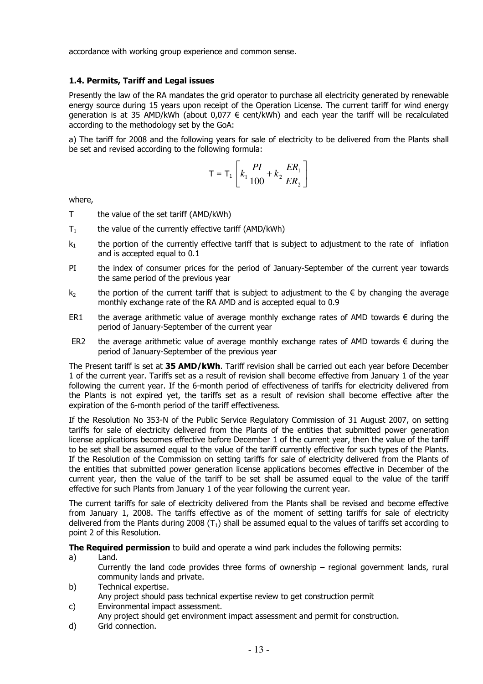accordance with working group experience and common sense.

## 1.4. Permits, Tariff and Legal issues

Presently the law of the RA mandates the grid operator to purchase all electricity generated by renewable energy source during 15 years upon receipt of the Operation License. The current tariff for wind energy generation is at 35 AMD/kWh (about 0,077 € cent/kWh) and each year the tariff will be recalculated according to the methodology set by the GoA:

a) The tariff for 2008 and the following years for sale of electricity to be delivered from the Plants shall be set and revised according to the following formula:

$$
T = T_1 \left[ k_1 \frac{PI}{100} + k_2 \frac{ER_1}{ER_2} \right]
$$

where,

- T the value of the set tariff (AMD/kWh)
- $T_1$  the value of the currently effective tariff (AMD/kWh)
- $k_1$  the portion of the currently effective tariff that is subject to adjustment to the rate of inflation and is accepted equal to 0.1
- PI the index of consumer prices for the period of January-September of the current year towards the same period of the previous year
- k<sub>2</sub> the portion of the current tariff that is subject to adjustment to the  $\epsilon$  by changing the average monthly exchange rate of the RA AMD and is accepted equal to 0.9
- ER1 the average arithmetic value of average monthly exchange rates of AMD towards  $\epsilon$  during the period of January-September of the current year
- ER2 the average arithmetic value of average monthly exchange rates of AMD towards  $\epsilon$  during the period of January-September of the previous year

The Present tariff is set at 35 AMD/kWh. Tariff revision shall be carried out each year before December 1 of the current year. Tariffs set as a result of revision shall become effective from January 1 of the year following the current year. If the 6-month period of effectiveness of tariffs for electricity delivered from the Plants is not expired yet, the tariffs set as a result of revision shall become effective after the expiration of the 6-month period of the tariff effectiveness.

If the Resolution No 353-N of the Public Service Regulatory Commission of 31 August 2007, on setting tariffs for sale of electricity delivered from the Plants of the entities that submitted power generation license applications becomes effective before December 1 of the current year, then the value of the tariff to be set shall be assumed equal to the value of the tariff currently effective for such types of the Plants. If the Resolution of the Commission on setting tariffs for sale of electricity delivered from the Plants of the entities that submitted power generation license applications becomes effective in December of the current year, then the value of the tariff to be set shall be assumed equal to the value of the tariff effective for such Plants from January 1 of the year following the current year.

The current tariffs for sale of electricity delivered from the Plants shall be revised and become effective from January 1, 2008. The tariffs effective as of the moment of setting tariffs for sale of electricity delivered from the Plants during 2008  $(T_1)$  shall be assumed equal to the values of tariffs set according to point 2 of this Resolution.

The Required permission to build and operate a wind park includes the following permits:

- a) Land. Currently the land code provides three forms of ownership – regional government lands, rural community lands and private.
- b) Technical expertise. Any project should pass technical expertise review to get construction permit
- c) Environmental impact assessment.
- Any project should get environment impact assessment and permit for construction.
- d) Grid connection.